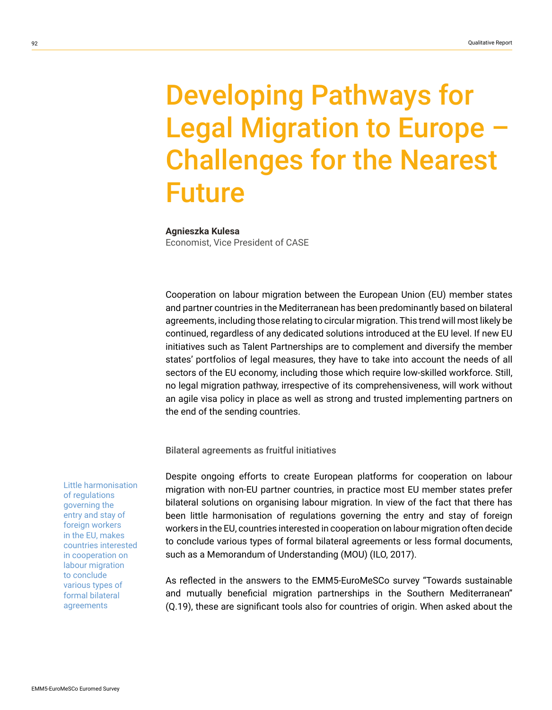# Developing Pathways for Legal Migration to Europe – Challenges for the Nearest Future

### **Agnieszka Kulesa**

Economist, Vice President of CASE

Cooperation on labour migration between the European Union (EU) member states and partner countries in the Mediterranean has been predominantly based on bilateral agreements, including those relating to circular migration. This trend will most likely be continued, regardless of any dedicated solutions introduced at the EU level. If new EU initiatives such as Talent Partnerships are to complement and diversify the member states' portfolios of legal measures, they have to take into account the needs of all sectors of the EU economy, including those which require low-skilled workforce. Still, no legal migration pathway, irrespective of its comprehensiveness, will work without an agile visa policy in place as well as strong and trusted implementing partners on the end of the sending countries.

Bilateral agreements as fruitful initiatives

Despite ongoing efforts to create European platforms for cooperation on labour migration with non-EU partner countries, in practice most EU member states prefer bilateral solutions on organising labour migration. In view of the fact that there has been little harmonisation of regulations governing the entry and stay of foreign workers in the EU, countries interested in cooperation on labour migration often decide to conclude various types of formal bilateral agreements or less formal documents, such as a Memorandum of Understanding (MOU) (ILO, 2017).

As reflected in the answers to the EMM5-EuroMeSCo survey "Towards sustainable and mutually beneficial migration partnerships in the Southern Mediterranean" (Q.19), these are significant tools also for countries of origin. When asked about the

Little harmonisation of regulations governing the entry and stay of foreign workers in the EU, makes countries interested in cooperation on labour migration to conclude various types of formal bilateral agreements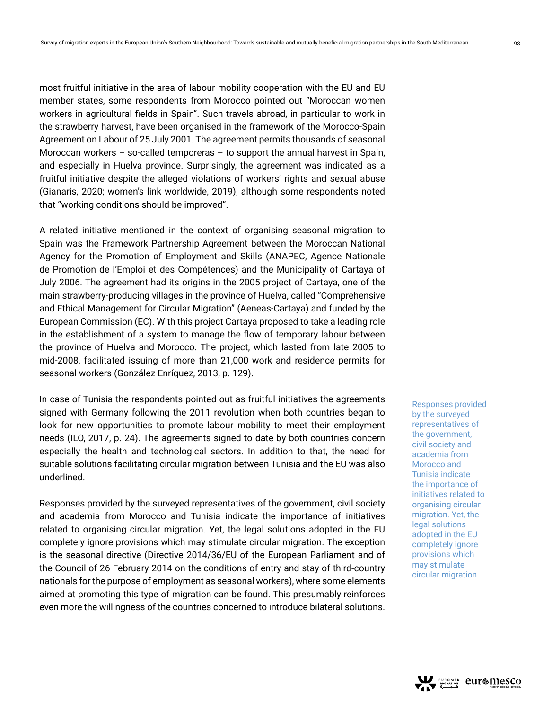most fruitful initiative in the area of labour mobility cooperation with the EU and EU member states, some respondents from Morocco pointed out "Moroccan women workers in agricultural fields in Spain". Such travels abroad, in particular to work in the strawberry harvest, have been organised in the framework of the Morocco-Spain Agreement on Labour of 25 July 2001. The agreement permits thousands of seasonal Moroccan workers – so-called temporeras – to support the annual harvest in Spain, and especially in Huelva province. Surprisingly, the agreement was indicated as a fruitful initiative despite the alleged violations of workers' rights and sexual abuse (Gianaris, 2020; women's link worldwide, 2019), although some respondents noted that "working conditions should be improved".

A related initiative mentioned in the context of organising seasonal migration to Spain was the Framework Partnership Agreement between the Moroccan National Agency for the Promotion of Employment and Skills (ANAPEC, Agence Nationale de Promotion de l'Emploi et des Compétences) and the Municipality of Cartaya of July 2006. The agreement had its origins in the 2005 project of Cartaya, one of the main strawberry-producing villages in the province of Huelva, called "Comprehensive and Ethical Management for Circular Migration" (Aeneas-Cartaya) and funded by the European Commission (EC). With this project Cartaya proposed to take a leading role in the establishment of a system to manage the flow of temporary labour between the province of Huelva and Morocco. The project, which lasted from late 2005 to mid-2008, facilitated issuing of more than 21,000 work and residence permits for seasonal workers (González Enríquez, 2013, p. 129).

In case of Tunisia the respondents pointed out as fruitful initiatives the agreements signed with Germany following the 2011 revolution when both countries began to look for new opportunities to promote labour mobility to meet their employment needs (ILO, 2017, p. 24). The agreements signed to date by both countries concern especially the health and technological sectors. In addition to that, the need for suitable solutions facilitating circular migration between Tunisia and the EU was also underlined.

Responses provided by the surveyed representatives of the government, civil society and academia from Morocco and Tunisia indicate the importance of initiatives related to organising circular migration. Yet, the legal solutions adopted in the EU completely ignore provisions which may stimulate circular migration. The exception is the seasonal directive (Directive 2014/36/EU of the European Parliament and of the Council of 26 February 2014 on the conditions of entry and stay of third-country nationals for the purpose of employment as seasonal workers), where some elements aimed at promoting this type of migration can be found. This presumably reinforces even more the willingness of the countries concerned to introduce bilateral solutions.

Responses provided by the surveyed representatives of the government, civil society and academia from Morocco and Tunisia indicate the importance of initiatives related to organising circular migration. Yet, the legal solutions adopted in the EU completely ignore provisions which may stimulate circular migration.

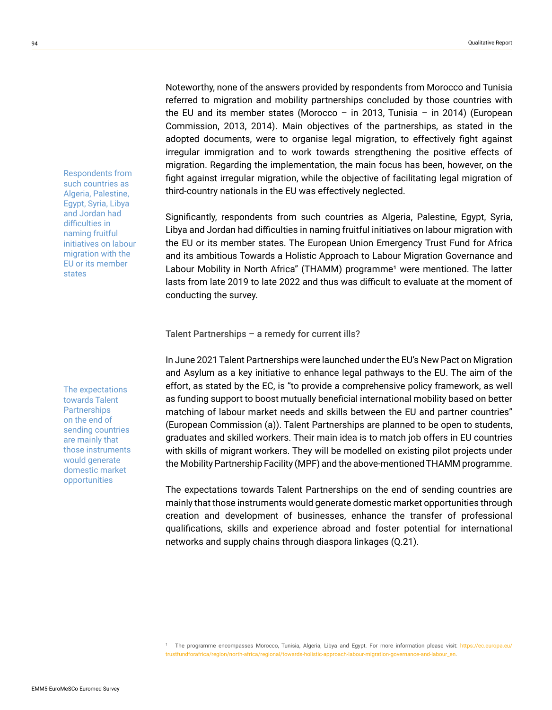Noteworthy, none of the answers provided by respondents from Morocco and Tunisia referred to migration and mobility partnerships concluded by those countries with the EU and its member states (Morocco - in 2013, Tunisia - in 2014) (European Commission, 2013, 2014). Main objectives of the partnerships, as stated in the adopted documents, were to organise legal migration, to effectively fight against irregular immigration and to work towards strengthening the positive effects of migration. Regarding the implementation, the main focus has been, however, on the fight against irregular migration, while the objective of facilitating legal migration of third-country nationals in the EU was effectively neglected.

Significantly, respondents from such countries as Algeria, Palestine, Egypt, Syria, Libya and Jordan had difficulties in naming fruitful initiatives on labour migration with the EU or its member states. The European Union Emergency Trust Fund for Africa and its ambitious Towards a Holistic Approach to Labour Migration Governance and Labour Mobility in North Africa" (THAMM) programme<sup>1</sup> were mentioned. The latter lasts from late 2019 to late 2022 and thus was difficult to evaluate at the moment of conducting the survey.

## Talent Partnerships – a remedy for current ills?

In June 2021 Talent Partnerships were launched under the EU's New Pact on Migration and Asylum as a key initiative to enhance legal pathways to the EU. The aim of the effort, as stated by the EC, is "to provide a comprehensive policy framework, as well as funding support to boost mutually beneficial international mobility based on better matching of labour market needs and skills between the EU and partner countries" (European Commission (a)). Talent Partnerships are planned to be open to students, graduates and skilled workers. Their main idea is to match job offers in EU countries with skills of migrant workers. They will be modelled on existing pilot projects under the Mobility Partnership Facility (MPF) and the above-mentioned THAMM programme.

The expectations towards Talent Partnerships on the end of sending countries are mainly that those instruments would generate domestic market opportunities through creation and development of businesses, enhance the transfer of professional qualifications, skills and experience abroad and foster potential for international networks and supply chains through diaspora linkages (Q.21).

The expectations towards Talent **Partnerships** on the end of sending countries are mainly that those instruments would generate domestic market opportunities

Respondents from such countries as Algeria, Palestine, Egypt, Syria, Libya and Jordan had difficulties in naming fruitful initiatives on labour migration with the EU or its member states

<sup>1</sup> The programme encompasses Morocco, Tunisia, Algeria, Libya and Egypt. For more information please visit: [https://ec.europa.eu/](https://ec.europa.eu/trustfundforafrica/region/north-africa/regional/towards-holistic-approach-labour-migration-governance-and-labour_en) [trustfundforafrica/region/north-africa/regional/towards-holistic-approach-labour-migration-governance-and-labour\\_en](https://ec.europa.eu/trustfundforafrica/region/north-africa/regional/towards-holistic-approach-labour-migration-governance-and-labour_en).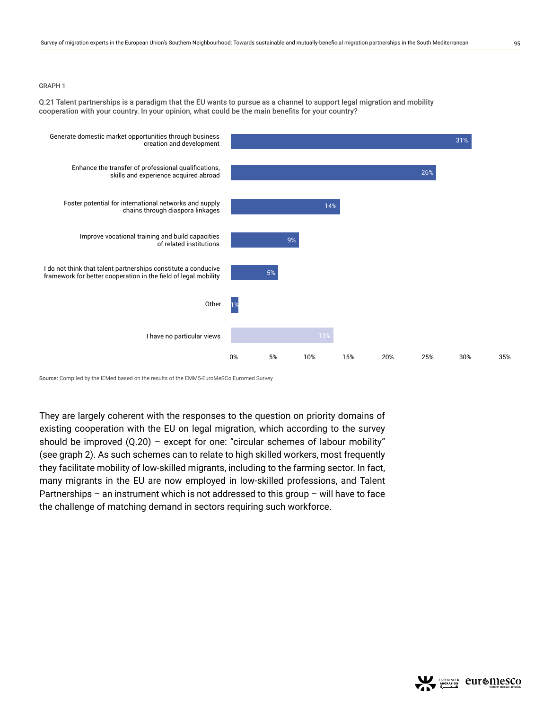#### GRAPH 1

Q.21 Talent partnerships is a paradigm that the EU wants to pursue as a channel to support legal migration and mobility cooperation with your country. In your opinion, what could be the main benefits for your country?



Source: Compiled by the IEMed based on the results of the EMM5-EuroMeSCo Euromed Survey

They are largely coherent with the responses to the question on priority domains of existing cooperation with the EU on legal migration, which according to the survey should be improved (Q.20) – except for one: "circular schemes of labour mobility" (see graph 2). As such schemes can to relate to high skilled workers, most frequently they facilitate mobility of low-skilled migrants, including to the farming sector. In fact, many migrants in the EU are now employed in low-skilled professions, and Talent Partnerships – an instrument which is not addressed to this group – will have to face the challenge of matching demand in sectors requiring such workforce.

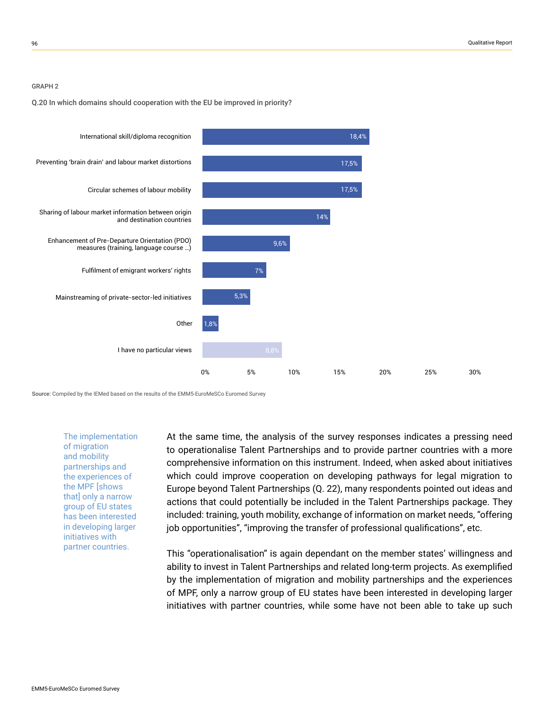#### GRAPH 2

#### Q.20 In which domains should cooperation with the EU be improved in priority?



Source: Compiled by the IEMed based on the results of the EMM5-EuroMeSCo Euromed Survey

The implementation of migration and mobility partnerships and the experiences of the MPF [shows that] only a narrow group of EU states has been interested in developing larger initiatives with partner countries.

At the same time, the analysis of the survey responses indicates a pressing need to operationalise Talent Partnerships and to provide partner countries with a more comprehensive information on this instrument. Indeed, when asked about initiatives which could improve cooperation on developing pathways for legal migration to Europe beyond Talent Partnerships (Q. 22), many respondents pointed out ideas and actions that could potentially be included in the Talent Partnerships package. They included: training, youth mobility, exchange of information on market needs, "offering job opportunities", "improving the transfer of professional qualifications", etc.

This "operationalisation" is again dependant on the member states' willingness and ability to invest in Talent Partnerships and related long-term projects. As exemplified by the implementation of migration and mobility partnerships and the experiences of MPF, only a narrow group of EU states have been interested in developing larger initiatives with partner countries, while some have not been able to take up such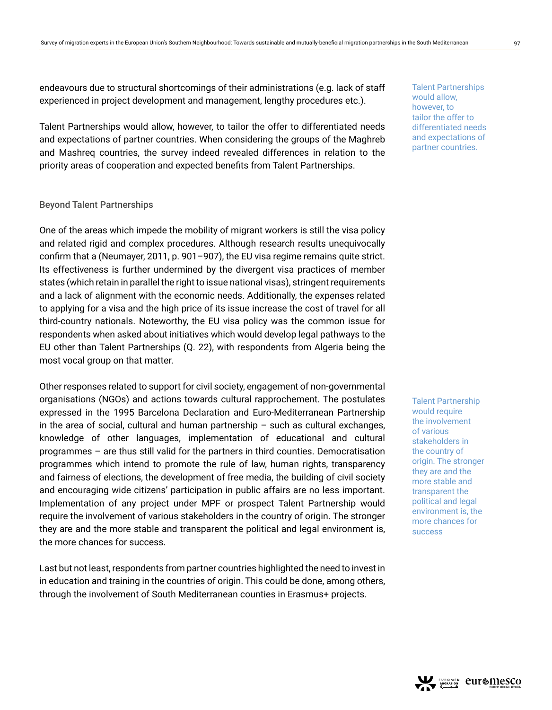endeavours due to structural shortcomings of their administrations (e.g. lack of staff experienced in project development and management, lengthy procedures etc.).

Talent Partnerships would allow, however, to tailor the offer to differentiated needs and expectations of partner countries. When considering the groups of the Maghreb and Mashreq countries, the survey indeed revealed differences in relation to the priority areas of cooperation and expected benefits from Talent Partnerships.

## Beyond Talent Partnerships

One of the areas which impede the mobility of migrant workers is still the visa policy and related rigid and complex procedures. Although research results unequivocally confirm that a (Neumayer, 2011, p. 901–907), the EU visa regime remains quite strict. Its effectiveness is further undermined by the divergent visa practices of member states (which retain in parallel the right to issue national visas), stringent requirements and a lack of alignment with the economic needs. Additionally, the expenses related to applying for a visa and the high price of its issue increase the cost of travel for all third-country nationals. Noteworthy, the EU visa policy was the common issue for respondents when asked about initiatives which would develop legal pathways to the EU other than Talent Partnerships (Q. 22), with respondents from Algeria being the most vocal group on that matter.

Other responses related to support for civil society, engagement of non-governmental organisations (NGOs) and actions towards cultural rapprochement. The postulates expressed in the 1995 Barcelona Declaration and Euro-Mediterranean Partnership in the area of social, cultural and human partnership  $-$  such as cultural exchanges, knowledge of other languages, implementation of educational and cultural programmes – are thus still valid for the partners in third counties. Democratisation programmes which intend to promote the rule of law, human rights, transparency and fairness of elections, the development of free media, the building of civil society and encouraging wide citizens' participation in public affairs are no less important. Implementation of any project under MPF or prospect Talent Partnership would require the involvement of various stakeholders in the country of origin. The stronger they are and the more stable and transparent the political and legal environment is, the more chances for success.

Last but not least, respondents from partner countries highlighted the need to invest in in education and training in the countries of origin. This could be done, among others, through the involvement of South Mediterranean counties in Erasmus+ projects.

Talent Partnerships would allow, however, to tailor the offer to differentiated needs and expectations of partner countries.

Talent Partnership would require the involvement of various stakeholders in the country of origin. The stronger they are and the more stable and transparent the political and legal environment is, the more chances for success

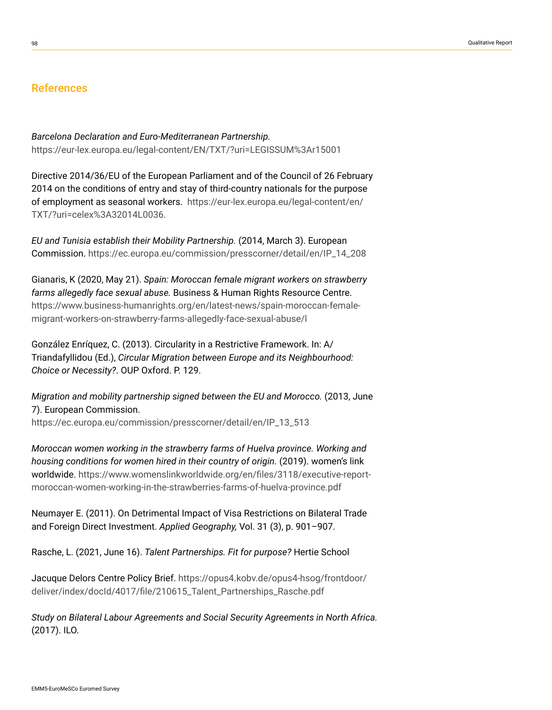# References

*Barcelona Declaration and Euro-Mediterranean Partnership.*  <https://eur-lex.europa.eu/legal-content/EN/TXT/?uri=LEGISSUM%3Ar15001>

Directive 2014/36/EU of the European Parliament and of the Council of 26 February 2014 on the conditions of entry and stay of third-country nationals for the purpose of employment as seasonal workers. [https://eur-lex.europa.eu/legal-content/en/](https://eur-lex.europa.eu/legal-content/en/TXT/?uri=celex%3A32014L0036) [TXT/?uri=celex%3A32014L0036](https://eur-lex.europa.eu/legal-content/en/TXT/?uri=celex%3A32014L0036).

*EU and Tunisia establish their Mobility Partnership.* (2014, March 3). European Commission. [https://ec.europa.eu/commission/presscorner/detail/en/IP\\_14\\_208](https://ec.europa.eu/commission/presscorner/detail/en/IP_14_208)

Gianaris, K (2020, May 21). *Spain: Moroccan female migrant workers on strawberry farms allegedly face sexual abuse.* Business & Human Rights Resource Centre. [https://www.business-humanrights.org/en/latest-news/spain-moroccan-female](https://www.business-humanrights.org/en/latest-news/spain-moroccan-female-migrant-workers-on-strawberry-farms-allegedly-face-sexual-abuse/l)[migrant-workers-on-strawberry-farms-allegedly-face-sexual-abuse/l](https://www.business-humanrights.org/en/latest-news/spain-moroccan-female-migrant-workers-on-strawberry-farms-allegedly-face-sexual-abuse/l)

González Enríquez, C. (2013). Circularity in a Restrictive Framework. In: A/ Triandafyllidou (Ed.), *Circular Migration between Europe and its Neighbourhood: Choice or Necessity?*. OUP Oxford. P. 129.

*Migration and mobility partnership signed between the EU and Morocco.* (2013, June 7). European Commission. [https://ec.europa.eu/commission/presscorner/detail/en/IP\\_13\\_513](https://ec.europa.eu/commission/presscorner/detail/en/IP_13_513)

*Moroccan women working in the strawberry farms of Huelva province. Working and housing conditions for women hired in their country of origin.* (2019). women's link worldwide. [https://www.womenslinkworldwide.org/en/files/3118/executive-report](https://www.womenslinkworldwide.org/en/files/3118/executive-report-moroccan-women-working-in-the-strawberries-farms-of-huelva-province.pdf)[moroccan-women-working-in-the-strawberries-farms-of-huelva-province.pdf](https://www.womenslinkworldwide.org/en/files/3118/executive-report-moroccan-women-working-in-the-strawberries-farms-of-huelva-province.pdf)

Neumayer E. (2011). On Detrimental Impact of Visa Restrictions on Bilateral Trade and Foreign Direct Investment. *Applied Geography,* Vol. 31 (3), p. 901–907.

Rasche, L. (2021, June 16). *Talent Partnerships. Fit for purpose?* Hertie School

Jacuque Delors Centre Policy Brief. [https://opus4.kobv.de/opus4-hsog/frontdoor/](https://opus4.kobv.de/opus4-hsog/frontdoor/deliver/index/docId/4017/file/210615_Talent_Partnerships_Rasche.pdf) [deliver/index/docId/4017/file/210615\\_Talent\\_Partnerships\\_Rasche.pdf](https://opus4.kobv.de/opus4-hsog/frontdoor/deliver/index/docId/4017/file/210615_Talent_Partnerships_Rasche.pdf)

*Study on Bilateral Labour Agreements and Social Security Agreements in North Africa.* (2017). ILO.